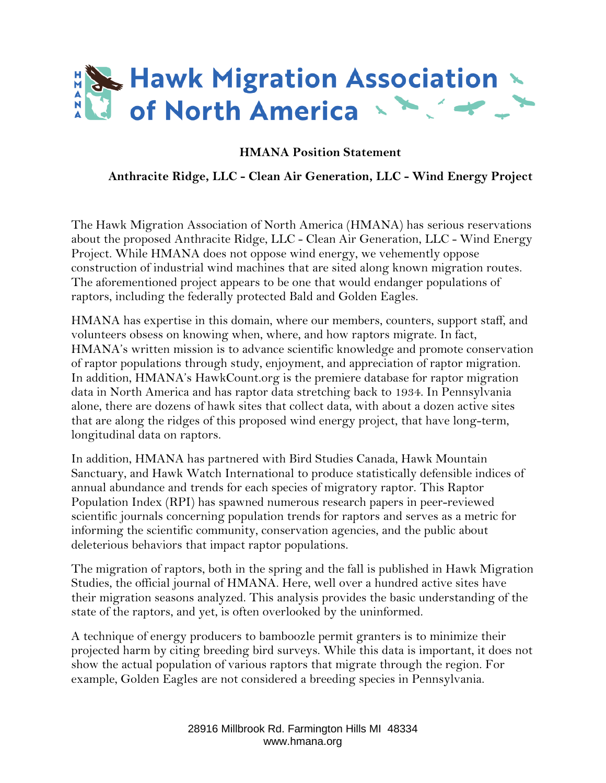

## **HMANA Position Statement**

## **Anthracite Ridge, LLC - Clean Air Generation, LLC - Wind Energy Project**

The Hawk Migration Association of North America (HMANA) has serious reservations about the proposed Anthracite Ridge, LLC - Clean Air Generation, LLC - Wind Energy Project. While HMANA does not oppose wind energy, we vehemently oppose construction of industrial wind machines that are sited along known migration routes. The aforementioned project appears to be one that would endanger populations of raptors, including the federally protected Bald and Golden Eagles.

HMANA has expertise in this domain, where our members, counters, support staff, and volunteers obsess on knowing when, where, and how raptors migrate. In fact, HMANA's written mission is to advance scientific knowledge and promote conservation of raptor populations through study, enjoyment, and appreciation of raptor migration. In addition, HMANA's HawkCount.org is the premiere database for raptor migration data in North America and has raptor data stretching back to 1934. In Pennsylvania alone, there are dozens of hawk sites that collect data, with about a dozen active sites that are along the ridges of this proposed wind energy project, that have long-term, longitudinal data on raptors.

In addition, HMANA has partnered with Bird Studies Canada, Hawk Mountain Sanctuary, and Hawk Watch International to produce statistically defensible indices of annual abundance and trends for each species of migratory raptor. This Raptor Population Index (RPI) has spawned numerous research papers in peer-reviewed scientific journals concerning population trends for raptors and serves as a metric for informing the scientific community, conservation agencies, and the public about deleterious behaviors that impact raptor populations.

The migration of raptors, both in the spring and the fall is published in Hawk Migration Studies, the official journal of HMANA. Here, well over a hundred active sites have their migration seasons analyzed. This analysis provides the basic understanding of the state of the raptors, and yet, is often overlooked by the uninformed.

A technique of energy producers to bamboozle permit granters is to minimize their projected harm by citing breeding bird surveys. While this data is important, it does not show the actual population of various raptors that migrate through the region. For example, Golden Eagles are not considered a breeding species in Pennsylvania.